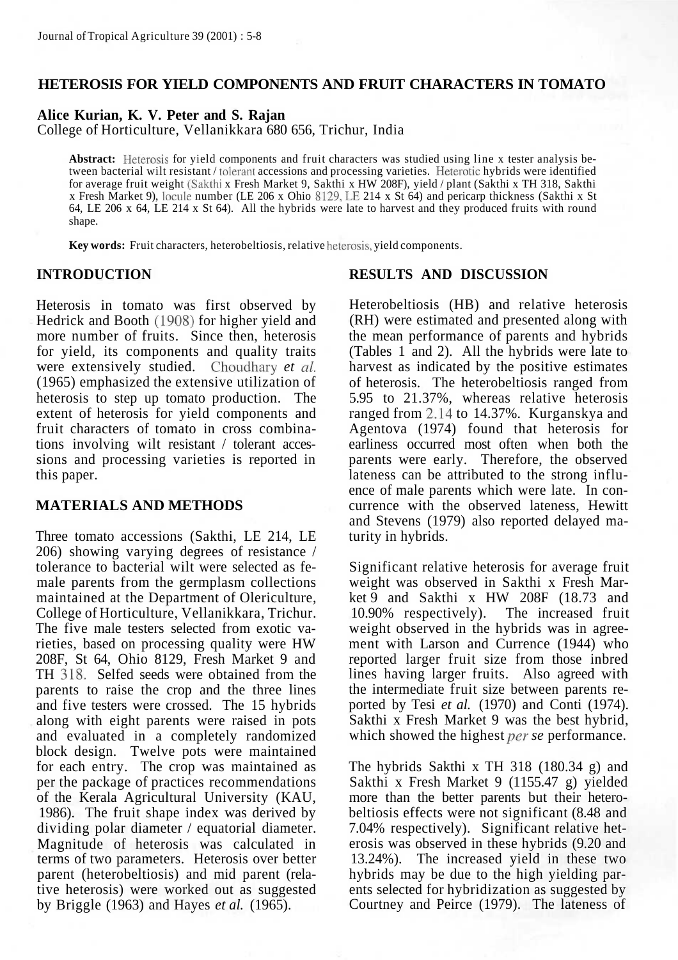# **HETEROSIS FOR YIELD COMPONENTS AND FRUIT CHARACTERS IN TOMATO**

**Alice Kurian, K. V. Peter and S. Rajan**

College of Horticulture, Vellanikkara 680 656, Trichur, India

**Abstract:** Heterosis for yield components and fruit characters was studied using line x tester analysis between bacterial wilt resistant / tolerant accessions and processing varieties. Heterotic hybrids were identified for average fruit weight (Sakthi x Fresh Market 9, Sakthi x HW 208F), yield / plant (Sakthi x TH 318, Sakthi x Fresh Market 9), locule number (LE 206 x Ohio 8129, LE 214 x St 64) and pericarp thickness (Sakthi x St 64, LE 206 x 64, LE 214 x St 64). All the hybrids were late to harvest and they produced fruits with round shape.

**Key words:** Fruit characters, heterobeltiosis, relative heterosis, yield components.

#### **INTRODUCTION**

Heterosis in tomato was first observed by Hedrick and Booth (1908) for higher yield and more number of fruits. Since then, heterosis for yield, its components and quality traits were extensively studied. Choudhary *et al.* (1965) emphasized the extensive utilization of heterosis to step up tomato production. The extent of heterosis for yield components and fruit characters of tomato in cross combinations involving wilt resistant / tolerant accessions and processing varieties is reported in this paper.

#### **MATERIALS AND METHODS**

Three tomato accessions (Sakthi, LE 214, LE 206) showing varying degrees of resistance / tolerance to bacterial wilt were selected as female parents from the germplasm collections maintained at the Department of Olericulture, College of Horticulture, Vellanikkara, Trichur. The five male testers selected from exotic varieties, based on processing quality were HW 208F, St 64, Ohio 8129, Fresh Market 9 and TH 318. Selfed seeds were obtained from the parents to raise the crop and the three lines and five testers were crossed. The 15 hybrids along with eight parents were raised in pots and evaluated in a completely randomized block design. Twelve pots were maintained for each entry. The crop was maintained as per the package of practices recommendations of the Kerala Agricultural University (KAU, 1986). The fruit shape index was derived by dividing polar diameter / equatorial diameter. Magnitude of heterosis was calculated in terms of two parameters. Heterosis over better parent (heterobeltiosis) and mid parent (relative heterosis) were worked out as suggested by Briggle (1963) and Hayes *et al.* (1965).

#### **RESULTS AND DISCUSSION**

Heterobeltiosis (HB) and relative heterosis (RH) were estimated and presented along with the mean performance of parents and hybrids (Tables 1 and 2). All the hybrids were late to harvest as indicated by the positive estimates of heterosis. The heterobeltiosis ranged from 5.95 to 21.37%, whereas relative heterosis ranged from 2.14 to 14.37%. Kurganskya and Agentova (1974) found that heterosis for earliness occurred most often when both the parents were early. Therefore, the observed lateness can be attributed to the strong influence of male parents which were late. In concurrence with the observed lateness, Hewitt and Stevens (1979) also reported delayed maturity in hybrids.

Significant relative heterosis for average fruit weight was observed in Sakthi x Fresh Market 9 and Sakthi x HW 208F (18.73 and 10.90% respectively). The increased fruit weight observed in the hybrids was in agreement with Larson and Currence (1944) who reported larger fruit size from those inbred lines having larger fruits. Also agreed with the intermediate fruit size between parents reported by Tesi *et al.* (1970) and Conti (1974). Sakthi x Fresh Market 9 was the best hybrid, which showed the highest per *se* performance.

The hybrids Sakthi x TH 318 (180.34 g) and Sakthi x Fresh Market 9 (1155.47 g) yielded more than the better parents but their heterobeltiosis effects were not significant (8.48 and 7.04% respectively). Significant relative heterosis was observed in these hybrids (9.20 and 13.24%). The increased yield in these two hybrids may be due to the high yielding parents selected for hybridization as suggested by Courtney and Peirce (1979). The lateness of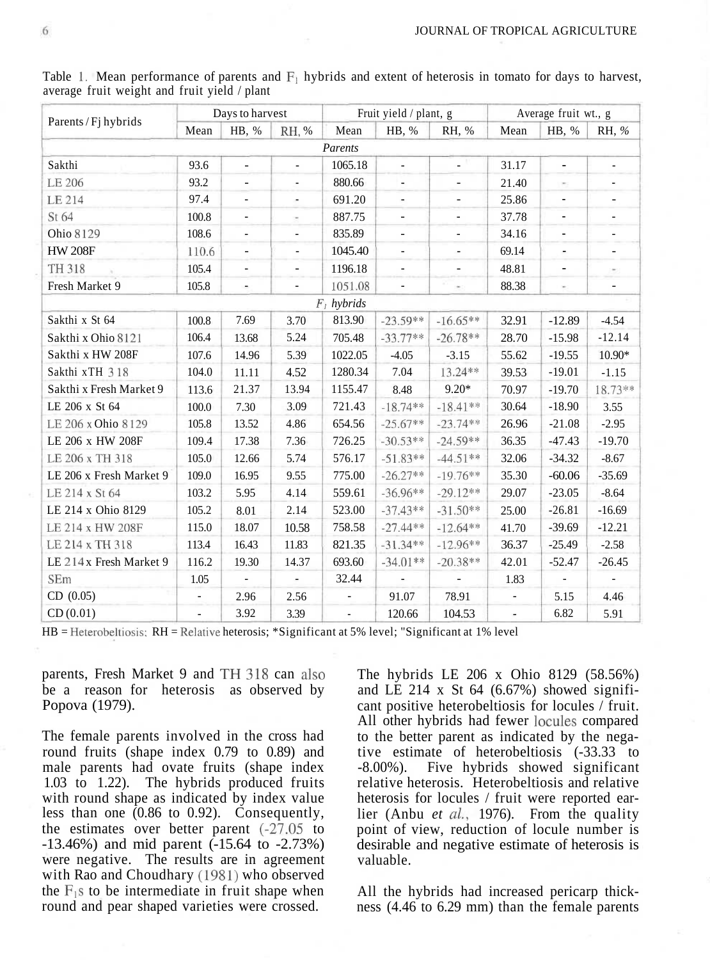| Parents / Fj hybrids    | Days to harvest |                          |                          | Fruit yield / plant, g   |                              |                          | Average fruit wt., g     |                          |                          |  |
|-------------------------|-----------------|--------------------------|--------------------------|--------------------------|------------------------------|--------------------------|--------------------------|--------------------------|--------------------------|--|
|                         | Mean            | HB, %                    | RH, %                    | Mean                     | HB, %                        | RH, %                    | Mean                     | HB, %                    | RH, %                    |  |
|                         |                 |                          |                          | Parents                  |                              |                          |                          |                          |                          |  |
| Sakthi                  | 93.6            | $\overline{\phantom{a}}$ | $\overline{\phantom{0}}$ | 1065.18                  | ÷,                           | $\overline{\phantom{0}}$ | 31.17                    | $\overline{a}$           |                          |  |
| LE 206                  | 93.2            | ÷,                       | $\overline{\phantom{a}}$ | 880.66                   | $\blacksquare$               | $\overline{\phantom{a}}$ | 21.40                    | ×.                       | ٠                        |  |
| LE 214                  | 97.4            | ÷.                       | ×,                       | 691.20                   | ÷,                           | ٠                        | 25.86                    | $\frac{1}{2}$            | $\overline{\phantom{a}}$ |  |
| St 64                   | 100.8           | $\overline{\phantom{a}}$ | $\sim$                   | 887.75                   | $\overline{\phantom{a}}$     | -                        | 37.78                    | $\overline{\phantom{a}}$ | $\overline{\phantom{a}}$ |  |
| Ohio 8129               | 108.6           | ÷,                       | $\overline{\phantom{a}}$ | 835.89                   | $\overline{\phantom{a}}$     | $\overline{\phantom{a}}$ | 34.16                    | $\overline{\phantom{a}}$ | $\blacksquare$           |  |
| <b>HW 208F</b>          | 110.6           | $\overline{\phantom{a}}$ | $\overline{\phantom{a}}$ | 1045.40                  | $\qquad \qquad \blacksquare$ | $\overline{\phantom{a}}$ | 69.14                    | $\overline{\phantom{a}}$ | $\overline{\phantom{a}}$ |  |
| TH 318                  | 105.4           | $\overline{\phantom{a}}$ | $\overline{\phantom{a}}$ | 1196.18                  | $\blacksquare$               | $\overline{\phantom{a}}$ | 48.81                    | $\overline{\phantom{a}}$ | $\sim$                   |  |
| Fresh Market 9          | 105.8           | $\overline{\phantom{0}}$ |                          | 1051.08                  |                              |                          | 88.38                    | ×                        | ÷,                       |  |
| $F_1$ hybrids           |                 |                          |                          |                          |                              |                          |                          |                          |                          |  |
| Sakthi x St 64          | 100.8           | 7.69                     | 3.70                     | 813.90                   | $-23.59**$                   | $-16.65**$               | 32.91                    | $-12.89$                 | $-4.54$                  |  |
| Sakthi x Ohio 8121      | 106.4           | 13.68                    | 5.24                     | 705.48                   | $-33.77**$                   | $-26.78**$               | 28.70                    | $-15.98$                 | $-12.14$                 |  |
| Sakthi x HW 208F        | 107.6           | 14.96                    | 5.39                     | 1022.05                  | $-4.05$                      | $-3.15$                  | 55.62                    | $-19.55$                 | 10.90*                   |  |
| Sakthi xTH 318          | 104.0           | 11.11                    | 4.52                     | 1280.34                  | 7.04                         | 13.24**                  | 39.53                    | $-19.01$                 | $-1.15$                  |  |
| Sakthi x Fresh Market 9 | 113.6           | 21.37                    | 13.94                    | 1155.47                  | 8.48                         | $9.20*$                  | 70.97                    | $-19.70$                 | 18.73 **                 |  |
| LE 206 x St 64          | 100.0           | 7.30                     | 3.09                     | 721.43                   | $-18.74**$                   | $-18.41**$               | 30.64                    | $-18.90$                 | 3.55                     |  |
| LE 206 x Ohio 8129      | 105.8           | 13.52                    | 4.86                     | 654.56                   | $-25.67**$                   | $-23.74**$               | 26.96                    | $-21.08$                 | $-2.95$                  |  |
| LE 206 x HW 208F        | 109.4           | 17.38                    | 7.36                     | 726.25                   | $-30.53**$                   | $-24.59**$               | 36.35                    | $-47.43$                 | $-19.70$                 |  |
| LE 206 x TH 318         | 105.0           | 12.66                    | 5.74                     | 576.17                   | $-51.83**$                   | $-44.51**$               | 32.06                    | $-34.32$                 | $-8.67$                  |  |
| LE 206 x Fresh Market 9 | 109.0           | 16.95                    | 9.55                     | 775.00                   | $-26.27**$                   | $-19.76**$               | 35.30                    | $-60.06$                 | $-35.69$                 |  |
| LE 214 x St 64          | 103.2           | 5.95                     | 4.14                     | 559.61                   | $-36.96**$                   | $-29.12**$               | 29.07                    | $-23.05$                 | $-8.64$                  |  |
| LE 214 x Ohio 8129      | 105.2           | 8.01                     | 2.14                     | 523.00                   | $-37.43**$                   | $-31.50**$               | 25.00                    | $-26.81$                 | $-16.69$                 |  |
| LE 214 x HW 208F        | 115.0           | 18.07                    | 10.58                    | 758.58                   | $-27.44**$                   | $-12.64**$               | 41.70                    | $-39.69$                 | $-12.21$                 |  |
| LE 214 x TH 318         | 113.4           | 16.43                    | 11.83                    | 821.35                   | $-31.34**$                   | $-12.96**$               | 36.37                    | $-25.49$                 | $-2.58$                  |  |
| LE 214 x Fresh Market 9 | 116.2           | 19.30                    | 14.37                    | 693.60                   | $-34.01**$                   | $-20.38**$               | 42.01                    | $-52.47$                 | $-26.45$                 |  |
| SEm                     | 1.05            | ä,                       | $\overline{\phantom{a}}$ | 32.44                    | ÷,                           |                          | 1.83                     |                          |                          |  |
| CD (0.05)               |                 | 2.96                     | 2.56                     |                          | 91.07                        | 78.91                    |                          | 5.15                     | 4.46                     |  |
| CD(0.01)                | ÷,              | 3.92                     | 3.39                     | $\overline{\phantom{a}}$ | 120.66                       | 104.53                   | $\overline{\phantom{a}}$ | 6.82                     | 5.91                     |  |

Table 1. Mean performance of parents and  $F_1$  hybrids and extent of heterosis in tomato for days to harvest, average fruit weight and fruit yield / plant

HB = Heterobeltiosis; RH = Relative heterosis; \*Significant at 5% level; "Significant at 1% level

parents, Fresh Market 9 and TH 318 can also be a reason for heterosis as observed by Popova (1979).

The female parents involved in the cross had round fruits (shape index 0.79 to 0.89) and male parents had ovate fruits (shape index 1.03 to 1.22). The hybrids produced fruits with round shape as indicated by index value less than one (0.86 to 0.92). Consequently, the estimates over better parent (-27.05 to  $-13.46\%$ ) and mid parent  $(-15.64 \text{ to } -2.73\%)$ were negative. The results are in agreement with Rao and Choudhary (1981) who observed the  $F_1$ s to be intermediate in fruit shape when round and pear shaped varieties were crossed.

The hybrids LE 206 x Ohio 8129 (58.56%) and LE 214 x St 64 (6.67%) showed significant positive heterobeltiosis for locules / fruit. All other hybrids had fewer locules compared to the better parent as indicated by the negative estimate of heterobeltiosis (-33.33 to -8.00%). Five hybrids showed significant relative heterosis. Heterobeltiosis and relative heterosis for locules / fruit were reported earlier (Anbu *et al,* 1976). From the quality point of view, reduction of locule number is desirable and negative estimate of heterosis is valuable.

All the hybrids had increased pericarp thickness (4.46 to 6.29 mm) than the female parents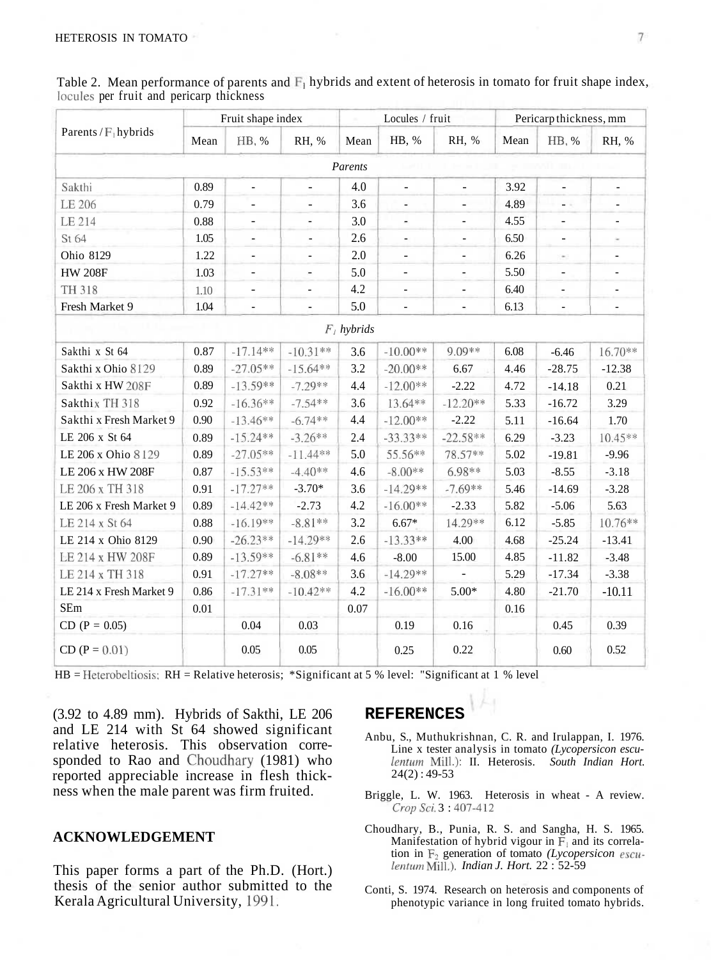Table 2. Mean performance of parents and  $F_1$  hybrids and extent of heterosis in tomato for fruit shape index, locules per fruit and pericarp thickness

| Parents / $F_1$ hybrids | Fruit shape index |                          |                          | Locules / fruit |                              |                          | Pericarp thickness, mm |                          |                          |  |  |  |
|-------------------------|-------------------|--------------------------|--------------------------|-----------------|------------------------------|--------------------------|------------------------|--------------------------|--------------------------|--|--|--|
|                         | Mean              | HB, %                    | RH, %                    | Mean            | HB, %                        | RH, %                    | Mean                   | HB, %                    | RH, %                    |  |  |  |
| Parents                 |                   |                          |                          |                 |                              |                          |                        |                          |                          |  |  |  |
| Sakthi                  | 0.89              | L.                       | $\blacksquare$           | 4.0             | $\overline{\phantom{a}}$     | ÷.                       | 3.92                   | $\overline{\phantom{a}}$ | $\overline{\phantom{a}}$ |  |  |  |
| LE 206                  | 0.79              | $\overline{\phantom{0}}$ | $\overline{\phantom{0}}$ | 3.6             | ä,                           |                          | 4.89                   | - 11                     | ٠                        |  |  |  |
| LE 214                  | 0.88              | $\blacksquare$           | ÷,                       | 3.0             | $\overline{\phantom{a}}$     | ä,                       | 4.55                   | ÷,                       | ÷,                       |  |  |  |
| St 64                   | 1.05              | ÷,                       | $\blacksquare$           | 2.6             | $\overline{\phantom{a}}$     | $\overline{\phantom{0}}$ | 6.50                   | ÷,                       | $\sim$                   |  |  |  |
| Ohio 8129               | 1.22              | ÷,                       | $\overline{\phantom{0}}$ | $2.0\,$         | $\overline{\phantom{a}}$     | $\blacksquare$           | 6.26                   | $\sim$                   | ٠                        |  |  |  |
| <b>HW 208F</b>          | 1.03              | $\blacksquare$           | ×,                       | 5.0             | $\qquad \qquad \blacksquare$ | $\overline{\phantom{a}}$ | 5.50                   | $\overline{\phantom{0}}$ | $\overline{\phantom{a}}$ |  |  |  |
| TH 318                  | 1.10              | $\overline{\phantom{0}}$ | $\overline{\phantom{a}}$ | 4.2             | $\overline{\phantom{a}}$     | $\overline{\phantom{a}}$ | 6.40                   | ä,                       | $\overline{\phantom{a}}$ |  |  |  |
| Fresh Market 9          | 1.04              | ÷,                       | ä,                       | 5.0             | ÷,                           |                          | 6.13                   | ÷,                       | ä,                       |  |  |  |
| $F_i$ hybrids           |                   |                          |                          |                 |                              |                          |                        |                          |                          |  |  |  |
| Sakthi x St 64          | 0.87              | $-17.14**$               | $-10.31**$               | 3.6             | $-10.00**$                   | 9.09**                   | 6.08                   | $-6.46$                  | $16.70**$                |  |  |  |
| Sakthi x Ohio 8129      | 0.89              | $-27.05**$               | $-15.64**$               | 3.2             | $-20.00**$                   | 6.67                     | 4.46                   | $-28.75$                 | $-12.38$                 |  |  |  |
| Sakthi x HW 208F        | 0.89              | $-13.59**$               | $-7.29**$                | 4.4             | $-12.00**$                   | $-2.22$                  | 4.72                   | $-14.18$                 | 0.21                     |  |  |  |
| Sakthix TH 318          | 0.92              | $-16.36**$               | $-7.54**$                | 3.6             | 13.64**                      | $-12.20**$               | 5.33                   | $-16.72$                 | 3.29                     |  |  |  |
| Sakthi x Fresh Market 9 | 0.90              | $-13.46**$               | $-6.74**$                | 4.4             | $-12.00**$                   | $-2.22$                  | 5.11                   | $-16.64$                 | 1.70                     |  |  |  |
| LE 206 x St 64          | 0.89              | $-15.24**$               | $-3.26**$                | 2.4             | $-33.33**$                   | $-22.58**$               | 6.29                   | $-3.23$                  | 10.45**                  |  |  |  |
| LE 206 x Ohio 8129      | 0.89              | $-27.05**$               | $-11.44**$               | 5.0             | 55.56**                      | 78.57**                  | 5.02                   | $-19.81$                 | $-9.96$                  |  |  |  |
| LE 206 x HW 208F        | 0.87              | $-15.53**$               | $-4.40**$                | 4.6             | $-8.00**$                    | $6.98**$                 | 5.03                   | $-8.55$                  | $-3.18$                  |  |  |  |
| LE 206 x TH 318         | 0.91              | $-17.27**$               | $-3.70*$                 | 3.6             | $-14.29**$                   | $-7.69**$                | 5.46                   | $-14.69$                 | $-3.28$                  |  |  |  |
| LE 206 x Fresh Market 9 | 0.89              | $-14.42**$               | $-2.73$                  | 4.2             | $-16.00**$                   | $-2.33$                  | 5.82                   | $-5.06$                  | 5.63                     |  |  |  |
| LE 214 x St 64          | 0.88              | $-16.19**$               | $-8.81**$                | 3.2             | $6.67*$                      | 14.29**                  | 6.12                   | $-5.85$                  | 10.76**                  |  |  |  |
| LE 214 x Ohio 8129      | 0.90              | $-26.23**$               | $-14.29**$               | 2.6             | $-13.33**$                   | 4.00                     | 4.68                   | $-25.24$                 | $-13.41$                 |  |  |  |
| <b>LE 214 x HW 208F</b> | 0.89              | $-13.59**$               | $-6.81**$                | 4.6             | $-8.00$                      | 15.00                    | 4.85                   | $-11.82$                 | $-3.48$                  |  |  |  |
| LE 214 x TH 318         | 0.91              | $-17.27**$               | $-8.08**$                | 3.6             | $-14.29**$                   |                          | 5.29                   | $-17.34$                 | $-3.38$                  |  |  |  |
| LE 214 x Fresh Market 9 | 0.86              | $-17.31**$               | $-10.42**$               | 4.2             | $-16.00**$                   | $5.00*$                  | 4.80                   | $-21.70$                 | $-10.11$                 |  |  |  |
| SEm                     | 0.01              |                          |                          | 0.07            |                              |                          | 0.16                   |                          |                          |  |  |  |
| $CD (P = 0.05)$         |                   | 0.04                     | 0.03                     |                 | 0.19                         | 0.16                     |                        | 0.45                     | 0.39                     |  |  |  |
| $CD (P = 0.01)$         |                   | 0.05                     | 0.05                     |                 | 0.25                         | 0.22                     |                        | 0.60                     | 0.52                     |  |  |  |

HB = Heterobeltiosis; RH = Relative heterosis; \*Significant at 5 % level: "Significant at 1 % level

(3.92 to 4.89 mm). Hybrids of Sakthi, LE 206 and LE 214 with St 64 showed significant relative heterosis. This observation corresponded to Rao and Choudhary (1981) who reported appreciable increase in flesh thickness when the male parent was firm fruited.

### **ACKNOWLEDGEMENT**

This paper forms a part of the Ph.D. (Hort.) thesis of the senior author submitted to the Kerala Agricultural University, 1991.

## **REFERENCES**

- Anbu, S., Muthukrishnan, C. R. and Irulappan, I. 1976. Line x tester analysis in tomato *(Lycopersicon esculentum* Mill.): II. Heterosis. *South Indian Hort.*  $24(2): 49-53$
- Briggle, L. W. 1963. Heterosis in wheat A review. *CropSci.* 3 : 407-412
- Choudhary, B., Punia, R. S. and Sangha, H. S. 1965. Manifestation of hybrid vigour in  $\mathbf{F}_1$  and its correlation in F2 generation of tomato *(Lycopersicon escu-lentum* Mill). *Indian J. Hort.* 22 : 52-59
- Conti, S. 1974. Research on heterosis and components of phenotypic variance in long fruited tomato hybrids.